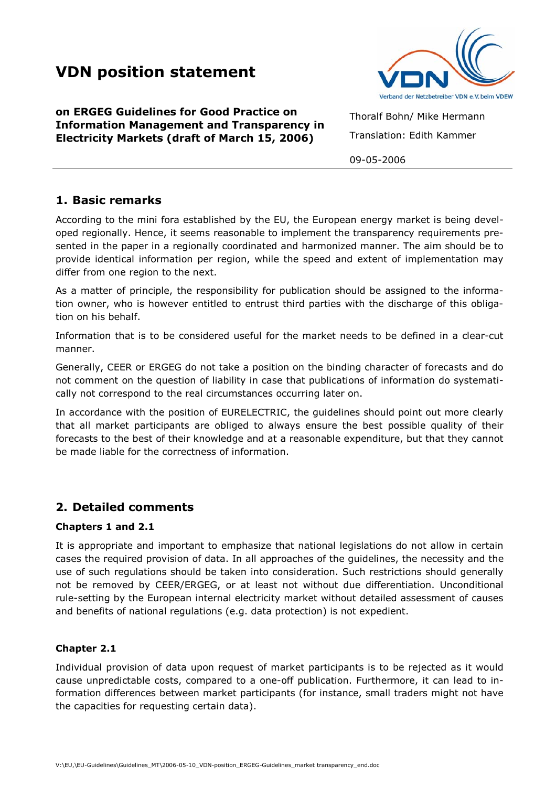# **VDN position statement**

**on ERGEG Guidelines for Good Practice on Information Management and Transparency in Electricity Markets (draft of March 15, 2006)** 



Thoralf Bohn/ Mike Hermann Translation: Edith Kammer

09-05-2006

### **1. Basic remarks**

According to the mini fora established by the EU, the European energy market is being developed regionally. Hence, it seems reasonable to implement the transparency requirements presented in the paper in a regionally coordinated and harmonized manner. The aim should be to provide identical information per region, while the speed and extent of implementation may differ from one region to the next.

As a matter of principle, the responsibility for publication should be assigned to the information owner, who is however entitled to entrust third parties with the discharge of this obligation on his behalf.

Information that is to be considered useful for the market needs to be defined in a clear-cut manner.

Generally, CEER or ERGEG do not take a position on the binding character of forecasts and do not comment on the question of liability in case that publications of information do systematically not correspond to the real circumstances occurring later on.

In accordance with the position of EURELECTRIC, the guidelines should point out more clearly that all market participants are obliged to always ensure the best possible quality of their forecasts to the best of their knowledge and at a reasonable expenditure, but that they cannot be made liable for the correctness of information.

## **2. Detailed comments**

#### **Chapters 1 and 2.1**

It is appropriate and important to emphasize that national legislations do not allow in certain cases the required provision of data. In all approaches of the guidelines, the necessity and the use of such regulations should be taken into consideration. Such restrictions should generally not be removed by CEER/ERGEG, or at least not without due differentiation. Unconditional rule-setting by the European internal electricity market without detailed assessment of causes and benefits of national regulations (e.g. data protection) is not expedient.

#### **Chapter 2.1**

Individual provision of data upon request of market participants is to be rejected as it would cause unpredictable costs, compared to a one-off publication. Furthermore, it can lead to information differences between market participants (for instance, small traders might not have the capacities for requesting certain data).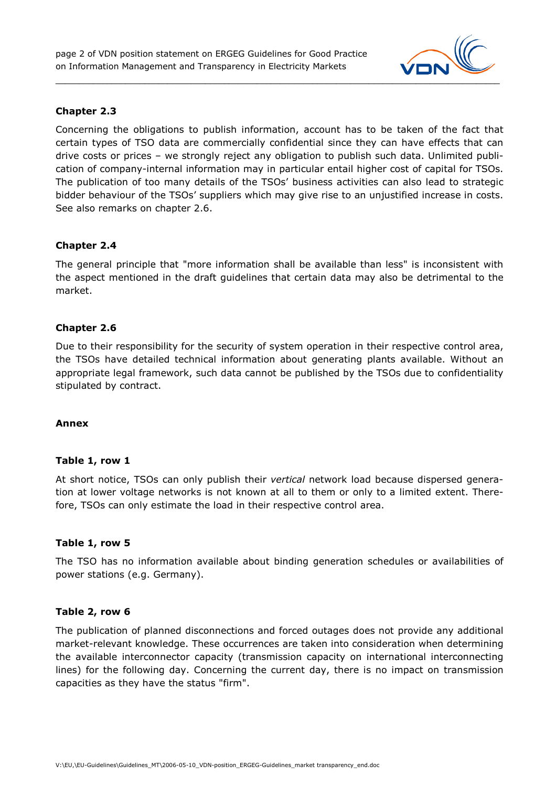

#### **Chapter 2.3**

Concerning the obligations to publish information, account has to be taken of the fact that certain types of TSO data are commercially confidential since they can have effects that can drive costs or prices – we strongly reject any obligation to publish such data. Unlimited publication of company-internal information may in particular entail higher cost of capital for TSOs. The publication of too many details of the TSOs' business activities can also lead to strategic bidder behaviour of the TSOs' suppliers which may give rise to an unjustified increase in costs. See also remarks on chapter 2.6.

#### **Chapter 2.4**

The general principle that "more information shall be available than less" is inconsistent with the aspect mentioned in the draft guidelines that certain data may also be detrimental to the market.

#### **Chapter 2.6**

Due to their responsibility for the security of system operation in their respective control area, the TSOs have detailed technical information about generating plants available. Without an appropriate legal framework, such data cannot be published by the TSOs due to confidentiality stipulated by contract.

#### **Annex**

#### **Table 1, row 1**

At short notice, TSOs can only publish their *vertical* network load because dispersed generation at lower voltage networks is not known at all to them or only to a limited extent. Therefore, TSOs can only estimate the load in their respective control area.

#### **Table 1, row 5**

The TSO has no information available about binding generation schedules or availabilities of power stations (e.g. Germany).

#### **Table 2, row 6**

The publication of planned disconnections and forced outages does not provide any additional market-relevant knowledge. These occurrences are taken into consideration when determining the available interconnector capacity (transmission capacity on international interconnecting lines) for the following day. Concerning the current day, there is no impact on transmission capacities as they have the status "firm".